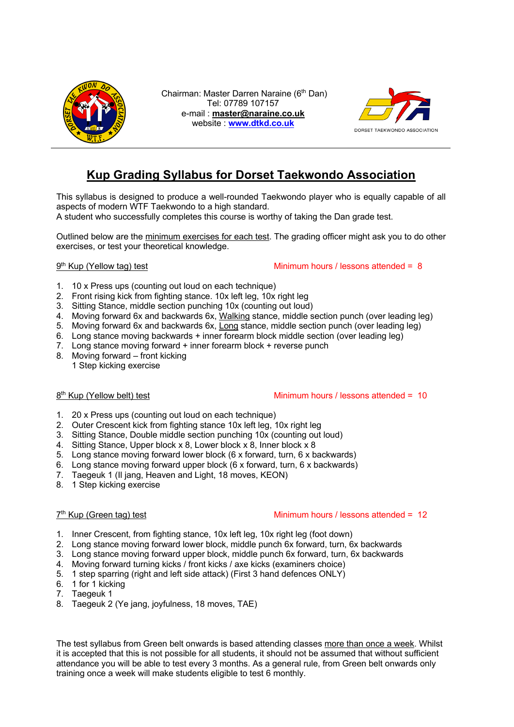

Chairman: Master Darren Naraine (6th Dan) Tel: 07789 107157 e-mail : **master@naraine.co.uk** website : **www.dtkd.co.uk**



# **Kup Grading Syllabus for Dorset Taekwondo Association**

This syllabus is designed to produce a well-rounded Taekwondo player who is equally capable of all aspects of modern WTF Taekwondo to a high standard.

A student who successfully completes this course is worthy of taking the Dan grade test.

Outlined below are the minimum exercises for each test. The grading officer might ask you to do other exercises, or test your theoretical knowledge.

9th Kup (Yellow tag) test Minimum hours / lessons attended = 8

- 1. 10 x Press ups (counting out loud on each technique)
- 2. Front rising kick from fighting stance. 10x left leg, 10x right leg
- 3. Sitting Stance, middle section punching 10x (counting out loud)
- 4. Moving forward 6x and backwards 6x, Walking stance, middle section punch (over leading leg)
- 5. Moving forward 6x and backwards 6x, Long stance, middle section punch (over leading leg)
- 6. Long stance moving backwards + inner forearm block middle section (over leading leg)
- 7. Long stance moving forward + inner forearm block + reverse punch
- 8. Moving forward front kicking 1 Step kicking exercise

## 8<sup>th</sup> Kup (Yellow belt) test Minimum hours / lessons attended = 10

- 1. 20 x Press ups (counting out loud on each technique)
- 2. Outer Crescent kick from fighting stance 10x left leg, 10x right leg
- 3. Sitting Stance, Double middle section punching 10x (counting out loud)
- 4. Sitting Stance, Upper block x 8, Lower block x 8, Inner block x 8
- 5. Long stance moving forward lower block (6 x forward, turn, 6 x backwards)
- 6. Long stance moving forward upper block (6 x forward, turn, 6 x backwards)
- 7. Taegeuk 1 (Il jang, Heaven and Light, 18 moves, KEON)
- 8. 1 Step kicking exercise

## 7<sup>th</sup> Kup (Green tag) test **Minimum hours / lessons attended = 12**

- 1. Inner Crescent, from fighting stance, 10x left leg, 10x right leg (foot down)
- 2. Long stance moving forward lower block, middle punch 6x forward, turn, 6x backwards
- 3. Long stance moving forward upper block, middle punch 6x forward, turn, 6x backwards
- 4. Moving forward turning kicks / front kicks / axe kicks (examiners choice)
- 5. 1 step sparring (right and left side attack) (First 3 hand defences ONLY)
- 6. 1 for 1 kicking
- 7. Taegeuk 1
- 8. Taegeuk 2 (Ye jang, joyfulness, 18 moves, TAE)

The test syllabus from Green belt onwards is based attending classes more than once a week. Whilst it is accepted that this is not possible for all students, it should not be assumed that without sufficient attendance you will be able to test every 3 months. As a general rule, from Green belt onwards only training once a week will make students eligible to test 6 monthly.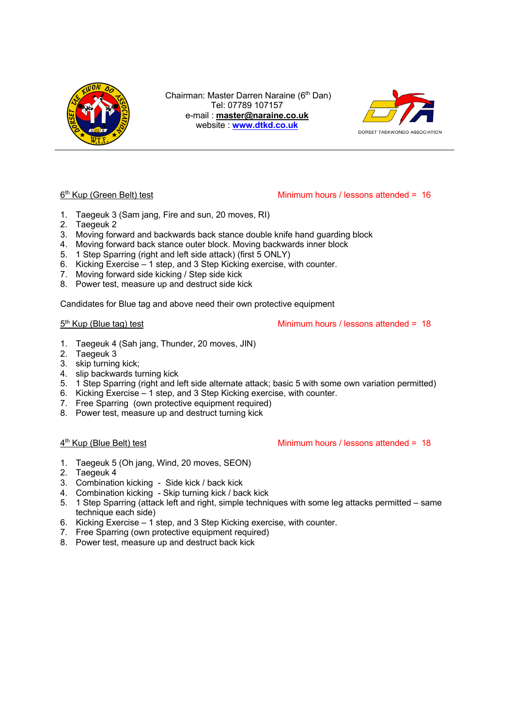

Chairman: Master Darren Naraine (6th Dan) Tel: 07789 107157 e-mail : **master@naraine.co.uk** website : **www.dtkd.co.uk**



## 6th Kup (Green Belt) test Minimum hours / lessons attended = 16

- 1. Taegeuk 3 (Sam jang, Fire and sun, 20 moves, RI)
- 2. Taegeuk 2
- 3. Moving forward and backwards back stance double knife hand guarding block
- 4. Moving forward back stance outer block. Moving backwards inner block
- 5. 1 Step Sparring (right and left side attack) (first 5 ONLY)
- 6. Kicking Exercise 1 step, and 3 Step Kicking exercise, with counter.
- 7. Moving forward side kicking / Step side kick
- 8. Power test, measure up and destruct side kick

Candidates for Blue tag and above need their own protective equipment

5<sup>th</sup> Kup (Blue tag) test Minimum hours / lessons attended = 18

- 1. Taegeuk 4 (Sah jang, Thunder, 20 moves, JIN)
- 2. Taegeuk 3
- 3. skip turning kick;
- 4. slip backwards turning kick
- 5. 1 Step Sparring (right and left side alternate attack; basic 5 with some own variation permitted)
- 6. Kicking Exercise 1 step, and 3 Step Kicking exercise, with counter.
- 7. Free Sparring (own protective equipment required)
- 8. Power test, measure up and destruct turning kick

4th Kup (Blue Belt) test Minimum hours / lessons attended = 18

- 1. Taegeuk 5 (Oh jang, Wind, 20 moves, SEON)
- 2. Taegeuk 4
- 3. Combination kicking Side kick / back kick
- 4. Combination kicking Skip turning kick / back kick
- 5. 1 Step Sparring (attack left and right, simple techniques with some leg attacks permitted same technique each side)
- 6. Kicking Exercise 1 step, and 3 Step Kicking exercise, with counter.
- 7. Free Sparring (own protective equipment required)
- 8. Power test, measure up and destruct back kick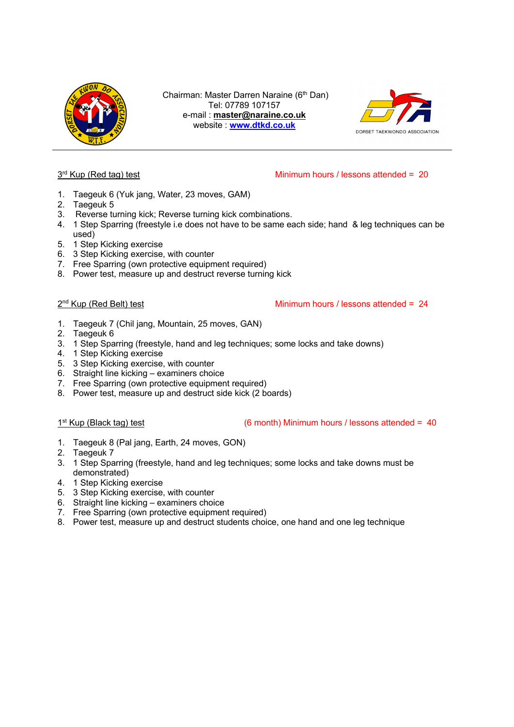

Chairman: Master Darren Naraine (6<sup>th</sup> Dan) Tel: 07789 107157 e-mail : **master@naraine.co.uk** website : **www.dtkd.co.uk**



# $3<sup>rd</sup>$  Kup (Red tag) test Minimum hours / lessons attended = 20

- 1. Taegeuk 6 (Yuk jang, Water, 23 moves, GAM)
- 2. Taegeuk 5
- 3. Reverse turning kick; Reverse turning kick combinations.
- 4. 1 Step Sparring (freestyle i.e does not have to be same each side; hand & leg techniques can be used)
- 5. 1 Step Kicking exercise
- 6. 3 Step Kicking exercise, with counter
- 7. Free Sparring (own protective equipment required)
- 8. Power test, measure up and destruct reverse turning kick

2<sup>nd</sup> Kup (Red Belt) test Minimum hours / lessons attended = 24

- 1. Taegeuk 7 (Chil jang, Mountain, 25 moves, GAN)
- 2. Taegeuk 6
- 3. 1 Step Sparring (freestyle, hand and leg techniques; some locks and take downs)
- 4. 1 Step Kicking exercise
- 5. 3 Step Kicking exercise, with counter
- 6. Straight line kicking examiners choice
- 7. Free Sparring (own protective equipment required)
- 8. Power test, measure up and destruct side kick (2 boards)

1<sup>st</sup> Kup (Black tag) test (6 month) Minimum hours / lessons attended = 40

- 1. Taegeuk 8 (Pal jang, Earth, 24 moves, GON)
- 2. Taegeuk 7
- 3. 1 Step Sparring (freestyle, hand and leg techniques; some locks and take downs must be demonstrated)
- 4. 1 Step Kicking exercise
- 5. 3 Step Kicking exercise, with counter
- 6. Straight line kicking examiners choice
- 7. Free Sparring (own protective equipment required)
- 8. Power test, measure up and destruct students choice, one hand and one leg technique